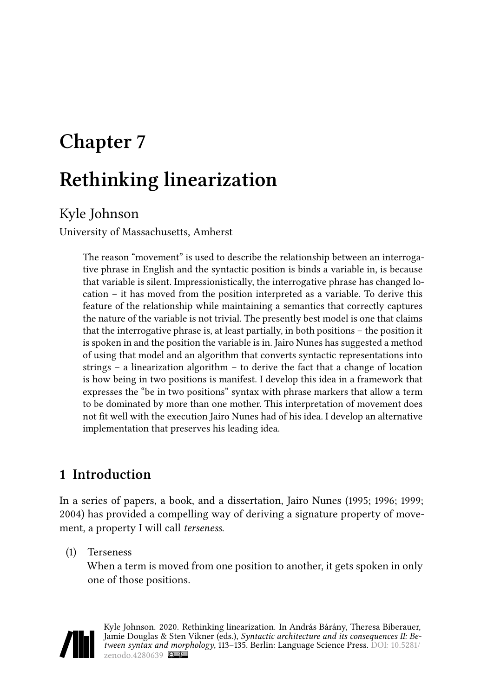# **Chapter 7 Rethinking linearization**

# Kyle Johnson

University of Massachusetts, Amherst

The reason "movement" is used to describe the relationship between an interrogative phrase in English and the syntactic position is binds a variable in, is because that variable is silent. Impressionistically, the interrogative phrase has changed location – it has moved from the position interpreted as a variable. To derive this feature of the relationship while maintaining a semantics that correctly captures the nature of the variable is not trivial. The presently best model is one that claims that the interrogative phrase is, at least partially, in both positions – the position it is spoken in and the position the variable is in. Jairo Nunes has suggested a method of using that model and an algorithm that converts syntactic representations into strings – a linearization algorithm – to derive the fact that a change of location is how being in two positions is manifest. I develop this idea in a framework that expresses the "be in two positions" syntax with phrase markers that allow a term to be dominated by more than one mother. This interpretation of movement does not fit well with the execution Jairo Nunes had of his idea. I develop an alternative implementation that preserves his leading idea.

# **1 Introduction**

In a series of papers, a book, and a dissertation, Jairo [Nunes \(1995](#page-22-0); [1996;](#page-22-1) [1999;](#page-22-2) [2004](#page-22-3)) has provided a compelling way of deriving a signature property of movement, a property I will call *terseness*.

(1) Terseness

When a term is moved from one position to another, it gets spoken in only one of those positions.



Kyle Johnson. 2020. Rethinking linearization. In András Bárány, Theresa Biberauer, Jamie Douglas & Sten Vikner (eds.), *Syntactic architecture and its consequences II: Between syntax and morphology*, 113–135. Berlin: Language Science Press. DOI: [10.5281/](https://doi.org/10.5281/zenodo.4280639) [zenodo.4280639](https://doi.org/10.5281/zenodo.4280639)  $\circledcirc$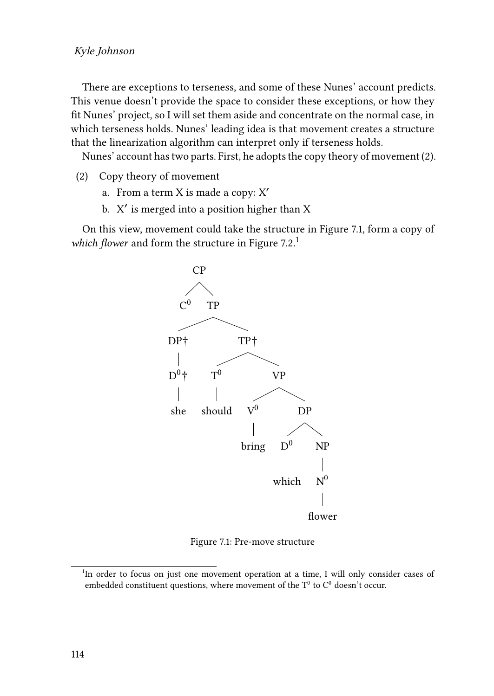#### Kyle Johnson

There are exceptions to terseness, and some of these Nunes' account predicts. This venue doesn't provide the space to consider these exceptions, or how they fit Nunes' project, so I will set them aside and concentrate on the normal case, in which terseness holds. Nunes' leading idea is that movement creates a structure that the linearization algorithm can interpret only if terseness holds.

Nunes' account has two parts. First, he adopts the copy theory of movement([2\)](#page-1-0).

- <span id="page-1-0"></span>(2) Copy theory of movement
	- a. From a term X is made a copy: X′
	- b. X ′ is merged into a position higher than X

<span id="page-1-1"></span>On this view, movement could take the structure in Figure [7.1,](#page-1-1) form a copy of which flower and form the structure in Figure [7.2](#page-2-0).<sup>1</sup>



Figure 7.1: Pre-move structure

<sup>&</sup>lt;sup>1</sup>In order to focus on just one movement operation at a time, I will only consider cases of embedded constituent questions, where movement of the  $T^0$  to  $C^0$  doesn't occur.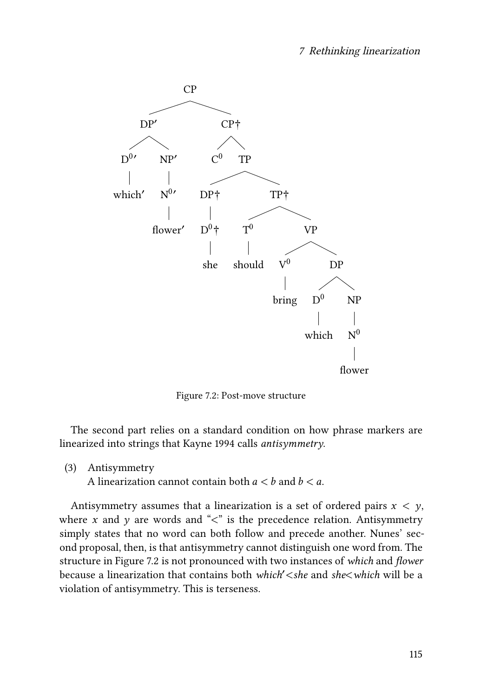<span id="page-2-0"></span>

Figure 7.2: Post-move structure

The second part relies on a standard condition on how phrase markers are linearized into strings that [Kayne 1994](#page-22-4) calls *antisymmetry*.

(3) Antisymmetry

A linearization cannot contain both  $a < b$  and  $b < a$ .

Antisymmetry assumes that a linearization is a set of ordered pairs  $x < y$ , where x and y are words and " $\lt$ " is the precedence relation. Antisymmetry simply states that no word can both follow and precede another. Nunes' second proposal, then, is that antisymmetry cannot distinguish one word from. The structure in Figure [7.2](#page-2-0) is not pronounced with two instances of *which* and *flower* because a linearization that contains both *which*′<*she* and *she*<*which* will be a violation of antisymmetry. This is terseness.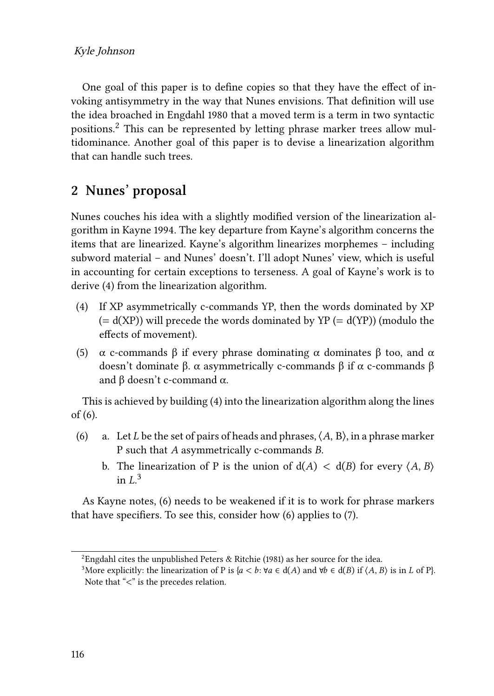One goal of this paper is to define copies so that they have the effect of invoking antisymmetry in the way that Nunes envisions. That definition will use the idea broached in [Engdahl 1980](#page-22-5) that a moved term is a term in two syntactic positions.<sup>2</sup> This can be represented by letting phrase marker trees allow multidominance. Another goal of this paper is to devise a linearization algorithm that can handle such trees.

## **2 Nunes' proposal**

Nunes couches his idea with a slightly modified version of the linearization algorithm in [Kayne 1994.](#page-22-4) The key departure from Kayne's algorithm concerns the items that are linearized. Kayne's algorithm linearizes morphemes – including subword material – and Nunes' doesn't. I'll adopt Nunes' view, which is useful in accounting for certain exceptions to terseness. A goal of Kayne's work is to derive [\(4](#page-3-0)) from the linearization algorithm.

- <span id="page-3-0"></span>(4) If XP asymmetrically c-commands YP, then the words dominated by XP  $(= d(XP))$  will precede the words dominated by YP  $(= d(YP))$  (modulo the effects of movement).
- (5)  $\alpha$  c-commands β if every phrase dominating  $\alpha$  dominates β too, and  $\alpha$ doesn't dominate β. α asymmetrically c-commands β if α c-commands β and β doesn't c-command  $\alpha$ .

This is achieved by building [\(4\)](#page-3-0) into the linearization algorithm along the lines of [\(6](#page-3-1)).

- <span id="page-3-1"></span>(6) a. Let *L* be the set of pairs of heads and phrases,  $\langle A, B \rangle$ , in a phrase marker P such that  $A$  asymmetrically c-commands  $B$ .
	- b. The linearization of P is the union of  $d(A) < d(B)$  for every  $\langle A, B \rangle$ in  $L^3$

As Kayne notes,([6\)](#page-3-1) needs to be weakened if it is to work for phrase markers that have specifiers. To see this, consider how [\(6](#page-3-1)) applies to [\(7\)](#page-4-0).

<sup>&</sup>lt;sup>2</sup>Engdahl cites the unpublished [Peters & Ritchie \(1981\)](#page-22-6) as her source for the idea.

<sup>&</sup>lt;sup>3</sup>More explicitly: the linearization of P is { $a < b$ : ∀ $a \in d(A)$  and ∀ $b \in d(B)$  if  $\langle A, B \rangle$  is in L of P}. Note that "<" is the precedes relation.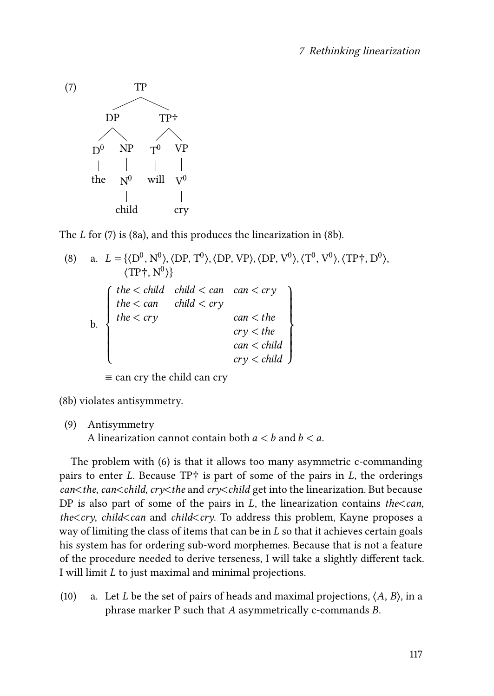<span id="page-4-0"></span>

The $L$  for [\(7](#page-4-0)) is [\(8a](#page-4-1)), and this produces the linearization in ([8b](#page-4-2)).

<span id="page-4-2"></span><span id="page-4-1"></span>(8) a. 
$$
L = \{(D^0, N^0), \langle DP, T^0 \rangle, \langle DP, VP \rangle, \langle DP, V^0 \rangle, \langle T^0, V^0 \rangle, \langle TP^+, D^0 \rangle, \langle TP^+, N^0 \rangle\}
$$
  
\n
$$
\left\{\n\begin{array}{ccc}\nthe < child & chain < can & carry \\
the < can & child < cry & can < the \\
the < cry & can < the & cry < the \\
& car < child & cry < child & cry < child\n\end{array}\n\right\}
$$

≡ can cry the child can cry

[\(8b\)](#page-4-2) violates antisymmetry.

(9) Antisymmetry

A linearization cannot contain both  $a < b$  and  $b < a$ .

The problem with [\(6\)](#page-3-1) is that it allows too many asymmetric c-commanding pairs to enter L. Because  $TP_1^+$  is part of some of the pairs in L, the orderings *can*<*the*, *can*<*child*, *cry*<*the* and *cry*<*child* get into the linearization. But because DP is also part of some of the pairs in  $L$ , the linearization contains *the*<*can*, *the*<*cry*, *child*<*can* and *child*<*cry*. To address this problem, Kayne proposes a way of limiting the class of items that can be in  $L$  so that it achieves certain goals his system has for ordering sub-word morphemes. Because that is not a feature of the procedure needed to derive terseness, I will take a slightly different tack. I will limit  $L$  to just maximal and minimal projections.

<span id="page-4-3"></span>(10) a. Let *L* be the set of pairs of heads and maximal projections,  $\langle A, B \rangle$ , in a phrase marker  $P$  such that  $A$  asymmetrically c-commands  $B$ .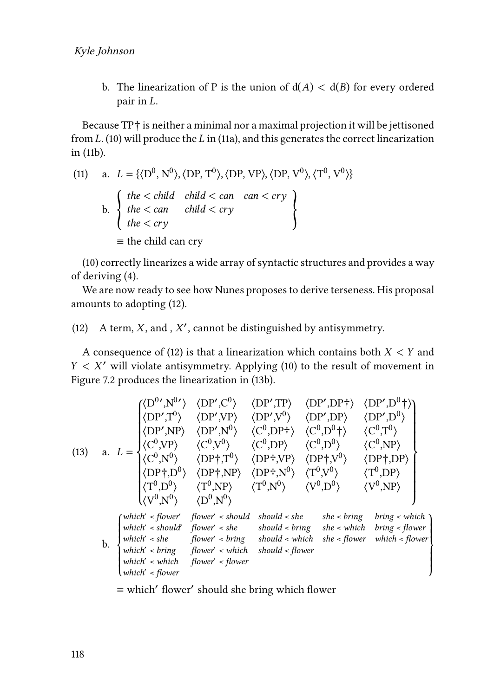b. The linearization of P is the union of  $d(A) < d(B)$  for every ordered pair in  $L$ .

Because TP† is neither a minimal nor a maximal projection it will be jettisoned from  $L.$  [\(10\)](#page-4-3) will produce the  $L$  in [\(11a\)](#page-5-0), and this generates the correct linearization in [\(11b\)](#page-5-1).

<span id="page-5-1"></span><span id="page-5-0"></span>(11) a. 
$$
L = \{(D^0, N^0), \langle DP, T^0 \rangle, \langle DP, VP \rangle, \langle DP, V^0 \rangle, \langle T^0, V^0 \rangle\}
$$
  
\nb. 
$$
\begin{cases} the < child < can < can < cry \\ the < cry < \end{cases}
$$
\n
$$
= the child can cry \qquad \qquad
$$

([10\)](#page-4-3) correctly linearizes a wide array of syntactic structures and provides a way of deriving [\(4](#page-3-0)).

We are now ready to see how Nunes proposes to derive terseness. His proposal amounts to adopting([12\)](#page-5-2).

<span id="page-5-2"></span>(12) A term,  $X$ , and,  $X'$ , cannot be distinguished by antisymmetry.

A consequence of [\(12](#page-5-2)) is that a linearization which contains both  $X < Y$  and  $Y < X'$  $Y < X'$  $Y < X'$  will violate antisymmetry. Applying ([10\)](#page-4-3) to the result of movement in Figure [7.2](#page-2-0) produces the linearization in([13b](#page-5-3)).

<span id="page-5-3"></span>(13) a. 
$$
L = \begin{cases} \langle D^{0}, N^{0} \rangle & \langle DP', C^{0} \rangle & \langle DP', TP \rangle & \langle DP', DP^{+} \rangle & \langle DP', D^{0} \uparrow \rangle \\ \langle DP', T^{0} \rangle & \langle DP', NP \rangle & \langle DP', V^{0} \rangle & \langle DP', DP \rangle & \langle DP', D^{0} \rangle \\ \langle DP', NP \rangle & \langle DP', N^{0} \rangle & \langle C^{0}, DP^{+} \rangle & \langle C^{0}, D^{0} \uparrow \rangle & \langle C^{0}, T^{0} \rangle \\ \langle C^{0}, NP \rangle & \langle C^{0}, V^{0} \rangle & \langle DP \uparrow, NP \rangle & \langle DP \uparrow, NP \rangle & \langle DP \uparrow, DP \rangle \\ \langle DP \uparrow, D^{0} \rangle & \langle DP \uparrow, NP \rangle & \langle DP \uparrow, N^{0} \rangle & \langle T^{0}, V^{0} \rangle & \langle T^{0}, DP \rangle \\ \langle T^{0}, D^{0} \rangle & \langle T^{0}, NP \rangle & \langle T^{0}, N^{0} \rangle & \langle V^{0}, D^{0} \rangle & \langle V^{0}, NP \rangle \\ \langle V^{0}, N^{0} \rangle & \langle D^{0}, N^{0} \rangle & \langle Y^{0}, D^{0} \rangle & \langle V^{0}, NP \rangle \\ \text{which's should flower's should should be the same, which bring's which which's about's being shown in the image. However, which is the best of the image. However, which is the best of the image. However, which is the best of the image. However, which is the best of the image. However, which is the best of the image.
$$

≡ which′ flower′ should she bring which flower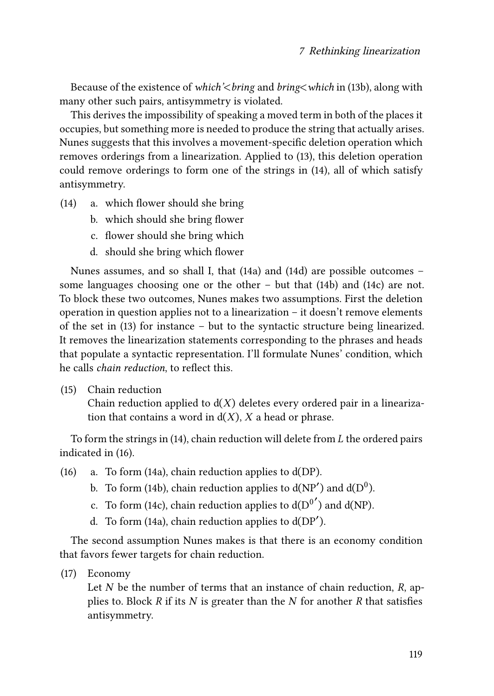Because of the existence of *which'*<*bring* and *bring*<*which* in([13b](#page-5-3)), along with many other such pairs, antisymmetry is violated.

This derives the impossibility of speaking a moved term in both of the places it occupies, but something more is needed to produce the string that actually arises. Nunes suggests that this involves a movement-specific deletion operation which removes orderings from a linearization. Applied to([13\)](#page-5-3), this deletion operation could remove orderings to form one of the strings in [\(14](#page-6-0)), all of which satisfy antisymmetry.

- <span id="page-6-0"></span>(14) a. which flower should she bring
	- b. which should she bring flower
	- c. flower should she bring which
	- d. should she bring which flower

Nunes assumes, and so shall I, that [\(14a](#page-6-0)) and [\(14](#page-6-0)d) are possible outcomes – some languages choosing one or the other – but that [\(14](#page-6-0)b) and([14c](#page-6-0)) are not. To block these two outcomes, Nunes makes two assumptions. First the deletion operation in question applies not to a linearization – it doesn't remove elements of the set in([13\)](#page-5-3) for instance – but to the syntactic structure being linearized. It removes the linearization statements corresponding to the phrases and heads that populate a syntactic representation. I'll formulate Nunes' condition, which he calls *chain reduction*, to reflect this.

(15) Chain reduction

Chain reduction applied to  $d(X)$  deletes every ordered pair in a linearization that contains a word in  $d(X)$ , X a head or phrase.

Toform the strings in  $(14)$  $(14)$ , chain reduction will delete from  $L$  the ordered pairs indicated in([16\)](#page-6-1).

- <span id="page-6-1"></span>(16) a. To form [\(14](#page-6-0)a), chain reduction applies to d(DP).
	- b. To form [\(14](#page-6-0)b), chain reduction applies to  $d(NP')$  and  $d(D<sup>0</sup>)$ .
	- c. To form [\(14](#page-6-0)c), chain reduction applies to  $d({\rm D}^{0'})$  and  $d({\rm NP})$ .
	- d. To form [\(14](#page-6-0)a), chain reduction applies to  $d(DP')$ .

The second assumption Nunes makes is that there is an economy condition that favors fewer targets for chain reduction.

(17) Economy

Let  $N$  be the number of terms that an instance of chain reduction,  $R$ , applies to. Block  $R$  if its  $N$  is greater than the  $N$  for another  $R$  that satisfies antisymmetry.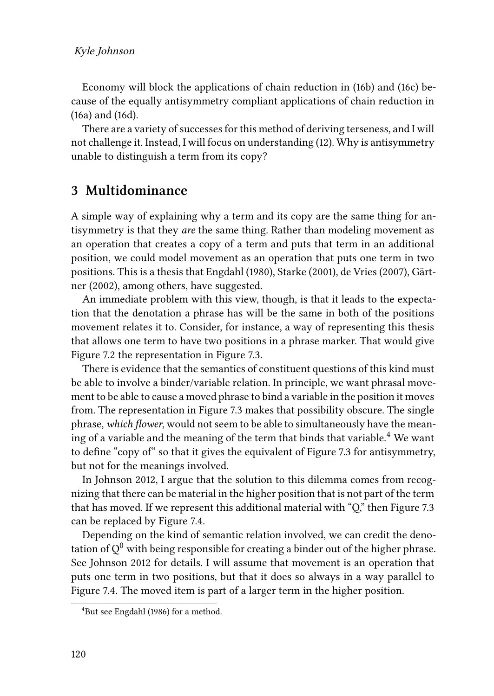Economy will block the applications of chain reduction in([16b](#page-6-1)) and [\(16c](#page-6-1)) because of the equally antisymmetry compliant applications of chain reduction in [\(16](#page-6-1)a) and([16d](#page-6-1)).

There are a variety of successes for this method of deriving terseness, and I will not challenge it. Instead, I will focus on understanding([12\)](#page-5-2). Why is antisymmetry unable to distinguish a term from its copy?

### **3 Multidominance**

A simple way of explaining why a term and its copy are the same thing for antisymmetry is that they *are* the same thing. Rather than modeling movement as an operation that creates a copy of a term and puts that term in an additional position, we could model movement as an operation that puts one term in two positions. This is a thesis that [Engdahl \(1980\)](#page-22-5), [Starke \(2001\),](#page-22-7) [de Vries \(2007\)](#page-22-8), [Gärt](#page-22-9)[ner \(2002\),](#page-22-9) among others, have suggested.

An immediate problem with this view, though, is that it leads to the expectation that the denotation a phrase has will be the same in both of the positions movement relates it to. Consider, for instance, a way of representing this thesis that allows one term to have two positions in a phrase marker. That would give Figure [7.2](#page-2-0) the representation in Figure [7.3.](#page-8-0)

There is evidence that the semantics of constituent questions of this kind must be able to involve a binder/variable relation. In principle, we want phrasal movement to be able to cause a moved phrase to bind a variable in the position it moves from. The representation in Figure [7.3](#page-8-0) makes that possibility obscure. The single phrase, *which flower*, would not seem to be able to simultaneously have the meaning of a variable and the meaning of the term that binds that variable.<sup>4</sup> We want to define "copy of" so that it gives the equivalent of Figure [7.3](#page-8-0) for antisymmetry, but not for the meanings involved.

In [Johnson 2012,](#page-22-10) I argue that the solution to this dilemma comes from recognizing that there can be material in the higher position that is not part of the term that has moved. If we represent this additional material with "Q," then Figure [7.3](#page-8-0) can be replaced by Figure [7.4.](#page-9-0)

Depending on the kind of semantic relation involved, we can credit the denotation of  $Q^0$  with being responsible for creating a binder out of the higher phrase. See [Johnson 2012](#page-22-10) for details. I will assume that movement is an operation that puts one term in two positions, but that it does so always in a way parallel to Figure [7.4](#page-9-0). The moved item is part of a larger term in the higher position.

<sup>4</sup>But see [Engdahl \(1986\)](#page-22-11) for a method.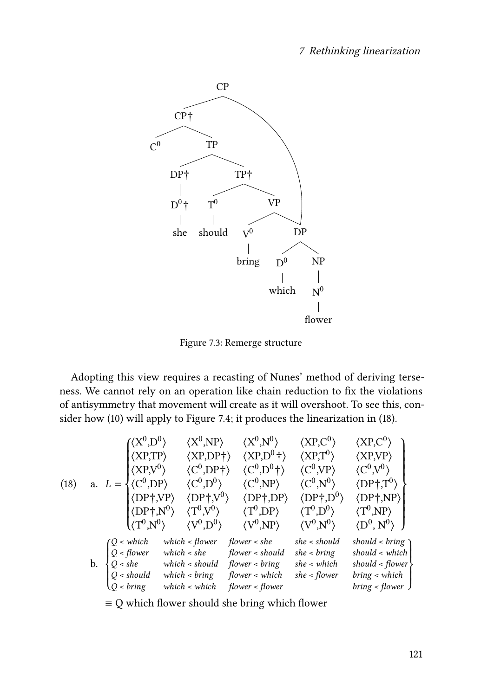<span id="page-8-0"></span>

Figure 7.3: Remerge structure

Adopting this view requires a recasting of Nunes' method of deriving terseness. We cannot rely on an operation like chain reduction to fix the violations of antisymmetry that movement will create as it will overshoot. To see this, consider how([10](#page-4-3)) will apply to Figure [7.4](#page-9-0); it produces the linearization in [\(18](#page-8-1)).

<span id="page-8-1"></span>(18) a. 
$$
L = \begin{cases} \langle X^{0},D^{0} \rangle & \langle X^{0},NP \rangle & \langle X^{0},N^{0} \rangle & \langle XP,C^{0} \rangle & \langle XP,C^{0} \rangle \\ \langle XP,TP \rangle & \langle XP,DP^{+} \rangle & \langle XP,D^{0}^{+} \rangle & \langle XP,T^{0} \rangle & \langle XP,VP \rangle \\ \langle XP,VP^{0} \rangle & \langle C^{0},DP^{+} \rangle & \langle C^{0},NP \rangle & \langle C^{0},VP \rangle & \langle C^{0},V^{0} \rangle \\ \langle DP^{+},VP^{0} \rangle & \langle DP^{+},DP^{0} \rangle & \langle DP^{+},DP^{0} \rangle & \langle DP^{+},NP \rangle \\ \langle DP^{+},NP^{0} \rangle & \langle T^{0},V^{0} \rangle & \langle T^{0},DP^{0} \rangle & \langle T^{0},DP^{0} \rangle & \langle T^{0},NP \rangle \\ \langle T^{0},N^{0} \rangle & \langle V^{0},D^{0} \rangle & \langle V^{0},NP \rangle & \langle V^{0},N^{0} \rangle & \langle D^{0},N^{0} \rangle \\ Q < \text{which} & \text{which} < \text{flower} & \text{flower} < \text{should} & \text{she} & \text{should} < \text{bring} \\ Q < \text{shell} & \text{which} < \text{should} & \text{flower} < \text{bring} & \text{should} < \text{which} \\ Q < \text{should} & \text{which} < \text{bring} & \text{flower} < \text{which} & \text{she} < \text{flower} & \text{bring} < \text{which} \\ Q < \text{bring} & \text{which} < \text{which} & \text{flower} < \text{flower} & \text{bring} < \text{flower} \\ \end{cases}
$$

≡ Q which flower should she bring which flower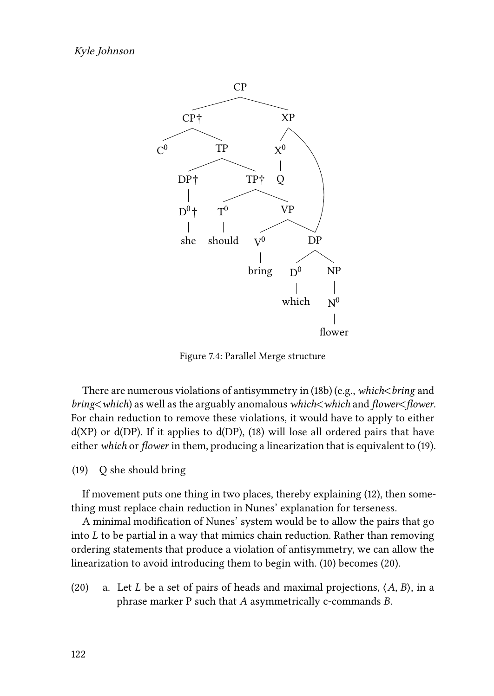<span id="page-9-0"></span>

Figure 7.4: Parallel Merge structure

There are numerous violations of antisymmetry in([18b](#page-8-1)) (e.g., *which*<*bring* and *bring*<*which*) as well as the arguably anomalous *which*<*which* and *flower*<*flower*. For chain reduction to remove these violations, it would have to apply to either d(XP) or d(DP). If it applies to d(DP),([18\)](#page-8-1) will lose all ordered pairs that have either *which* or *flower* in them, producing a linearization that is equivalent to([19\)](#page-9-1).

<span id="page-9-1"></span>(19) Q she should bring

If movement puts one thing in two places, thereby explaining([12\)](#page-5-2), then something must replace chain reduction in Nunes' explanation for terseness.

A minimal modification of Nunes' system would be to allow the pairs that go into  $L$  to be partial in a way that mimics chain reduction. Rather than removing ordering statements that produce a violation of antisymmetry, we can allow the linearization to avoid introducing them to begin with. [\(10\)](#page-4-3) becomes([20](#page-9-2)).

<span id="page-9-2"></span>(20) a. Let *L* be a set of pairs of heads and maximal projections,  $\langle A, B \rangle$ , in a phrase marker  $P$  such that  $A$  asymmetrically c-commands  $B$ .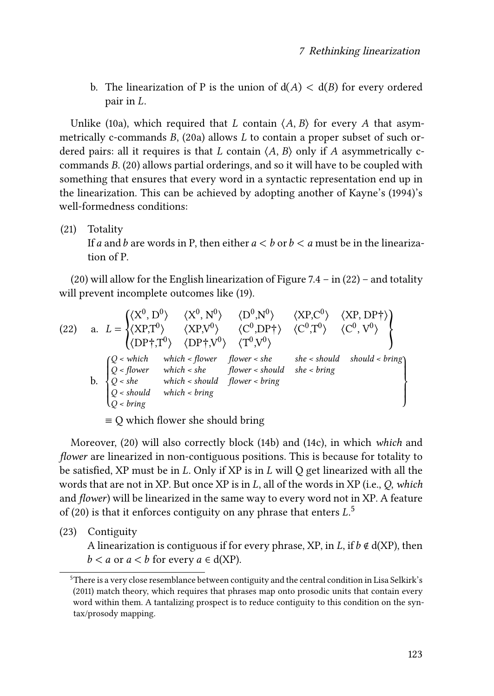b. The linearization of P is the union of  $d(A) < d(B)$  for every ordered pair in  $L$ .

Unlike [\(10](#page-4-3)a), which required that *L* contain  $\langle A, B \rangle$  for every *A* that asymmetrically c-commands  $B$ , [\(20a](#page-9-2)) allows  $L$  to contain a proper subset of such ordered pairs: all it requires is that  $L$  contain  $\langle A, B \rangle$  only if  $A$  asymmetrically c-commands $B.$  ([20](#page-9-2)) allows partial orderings, and so it will have to be coupled with something that ensures that every word in a syntactic representation end up in the linearization. This can be achieved by adopting another of [Kayne'](#page-22-4)s (1994)'s well-formedness conditions:

(21) Totality

If a and b are words in P, then either  $a < b$  or  $b < a$  must be in the linearization of P.

[\(20\)](#page-9-2) will allow for the English linearization of Figure [7.4](#page-9-0)– in  $(22)$  $(22)$  $(22)$  – and totality will prevent incomplete outcomes like([19\)](#page-9-1).

<span id="page-10-0"></span>(22) a. 
$$
L = \begin{cases} \langle X^{0}, D^{0} \rangle & \langle X^{0}, N^{0} \rangle & \langle D^{0}, N^{0} \rangle & \langle XP, C^{0} \rangle & \langle XP, DP \uparrow \rangle \\ \langle XP, T^{0} \rangle & \langle XP, V^{0} \rangle & \langle C^{0}, DP \uparrow \rangle & \langle C^{0}, T^{0} \rangle & \langle C^{0}, V^{0} \rangle \\ \langle DP \uparrow, T^{0} \rangle & \langle DP \uparrow, V^{0} \rangle & \langle T^{0}, V^{0} \rangle \end{cases}
$$
  
b. 
$$
\begin{cases} Q < which \quad which < flower \quad flower < she \quad she < should \quad should < bring \\ Q < show < which < should \quad flower < bring \\ Q < should \quad which < bring \end{cases}
$$

 $\equiv$  Q which flower she should bring

Moreover,([20\)](#page-9-2) will also correctly block([14b](#page-6-0)) and [\(14c](#page-6-0)), in which *which* and *flower* are linearized in non-contiguous positions. This is because for totality to be satisfied, XP must be in  $L$ . Only if XP is in  $L$  will Q get linearized with all the words that are not in XP. But once XP is in L, all of the words in XP (i.e., Q, which and *flower*) will be linearized in the same way to every word not in XP. A feature of([20\)](#page-9-2) is that it enforces contiguity on any phrase that enters  $L<sup>5</sup>$ 

<span id="page-10-1"></span>(23) Contiguity

A linearization is contiguous if for every phrase, XP, in L, if  $b \notin d(XP)$ , then  $b < a$  or  $a < b$  for every  $a \in d(XP)$ .

<sup>&</sup>lt;sup>5</sup>There is a very close resemblance between contiguity and the central condition in Lisa [Selkirk'](#page-22-12)s (2011) match theory, which requires that phrases map onto prosodic units that contain every word within them. A tantalizing prospect is to reduce contiguity to this condition on the syntax/prosody mapping.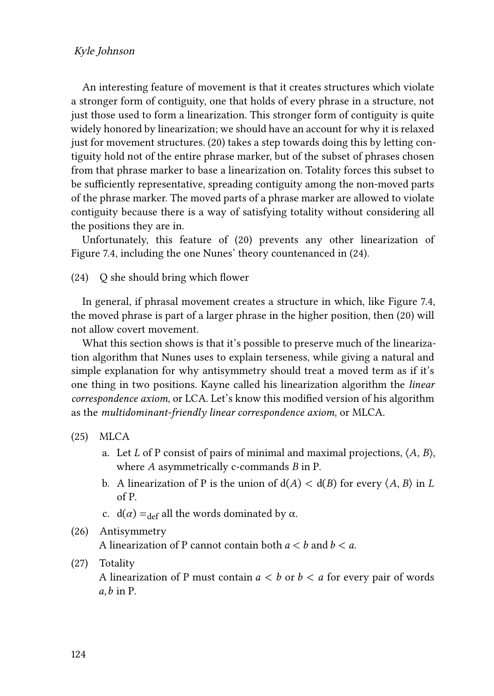#### Kyle Johnson

An interesting feature of movement is that it creates structures which violate a stronger form of contiguity, one that holds of every phrase in a structure, not just those used to form a linearization. This stronger form of contiguity is quite widely honored by linearization; we should have an account for why it is relaxed just for movement structures.([20\)](#page-9-2) takes a step towards doing this by letting contiguity hold not of the entire phrase marker, but of the subset of phrases chosen from that phrase marker to base a linearization on. Totality forces this subset to be sufficiently representative, spreading contiguity among the non-moved parts of the phrase marker. The moved parts of a phrase marker are allowed to violate contiguity because there is a way of satisfying totality without considering all the positions they are in.

Unfortunately, this feature of [\(20\)](#page-9-2) prevents any other linearization of Figure [7.4](#page-9-0), including the one Nunes' theory countenanced in([24](#page-11-0)).

<span id="page-11-0"></span>(24) Q she should bring which flower

In general, if phrasal movement creates a structure in which, like Figure [7.4,](#page-9-0) the moved phrase is part of a larger phrase in the higher position, then [\(20\)](#page-9-2) will not allow covert movement.

What this section shows is that it's possible to preserve much of the linearization algorithm that Nunes uses to explain terseness, while giving a natural and simple explanation for why antisymmetry should treat a moved term as if it's one thing in two positions. Kayne called his linearization algorithm the *linear correspondence axiom*, or LCA. Let's know this modified version of his algorithm as the *multidominant-friendly linear correspondence axiom*, or MLCA.

(25) MLCA

- a. Let *L* of P consist of pairs of minimal and maximal projections,  $\langle A, B \rangle$ , where  $A$  asymmetrically c-commands  $B$  in P.
- b. A linearization of P is the union of  $d(A) < d(B)$  for every  $\langle A, B \rangle$  in L of P.
- c.  $d(\alpha) =_{def} all the words dominated by \alpha$ .
- (26) Antisymmetry

A linearization of P cannot contain both  $a < b$  and  $b < a$ .

(27) Totality

A linearization of P must contain  $a < b$  or  $b < a$  for every pair of words  $a, b$  in P.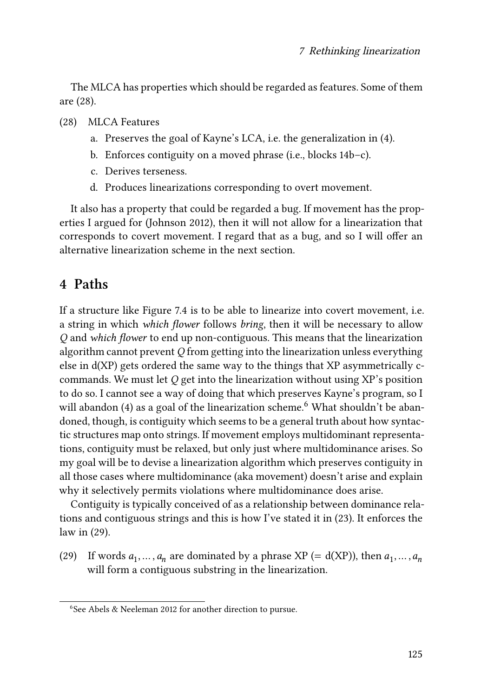The MLCA has properties which should be regarded as features. Some of them are([28](#page-12-0)).

- <span id="page-12-0"></span>(28) MLCA Features
	- a. Preserves the goal of Kayne's LCA, i.e. the generalization in([4\)](#page-3-0).
	- b. Enforces contiguity on a moved phrase (i.e., blocks [14b](#page-6-0)–c).
	- c. Derives terseness.
	- d. Produces linearizations corresponding to overt movement.

It also has a property that could be regarded a bug. If movement has the properties I argued for [\(Johnson 2012\)](#page-22-10), then it will not allow for a linearization that corresponds to covert movement. I regard that as a bug, and so I will offer an alternative linearization scheme in the next section.

## **4 Paths**

If a structure like Figure [7.4](#page-9-0) is to be able to linearize into covert movement, i.e. a string in which *which flower* follows *bring*, then it will be necessary to allow *Q* and *which flower* to end up non-contiguous. This means that the linearization algorithm cannot prevent *Q* from getting into the linearization unless everything else in d(XP) gets ordered the same way to the things that XP asymmetrically ccommands. We must let *Q* get into the linearization without using XP's position to do so. I cannot see a way of doing that which preserves Kayne's program, so I will abandon [\(4\)](#page-3-0) as a goal of the linearization scheme.<sup>6</sup> What shouldn't be abandoned, though, is contiguity which seems to be a general truth about how syntactic structures map onto strings. If movement employs multidominant representations, contiguity must be relaxed, but only just where multidominance arises. So my goal will be to devise a linearization algorithm which preserves contiguity in all those cases where multidominance (aka movement) doesn't arise and explain why it selectively permits violations where multidominance does arise.

Contiguity is typically conceived of as a relationship between dominance relations and contiguous strings and this is how I've stated it in [\(23](#page-10-1)). It enforces the law in([29](#page-12-1)).

<span id="page-12-1"></span>(29) If words  $a_1, \ldots, a_n$  are dominated by a phrase XP (= d(XP)), then  $a_1, \ldots, a_n$ will form a contiguous substring in the linearization.

<sup>6</sup> See [Abels & Neeleman 2012](#page-22-13) for another direction to pursue.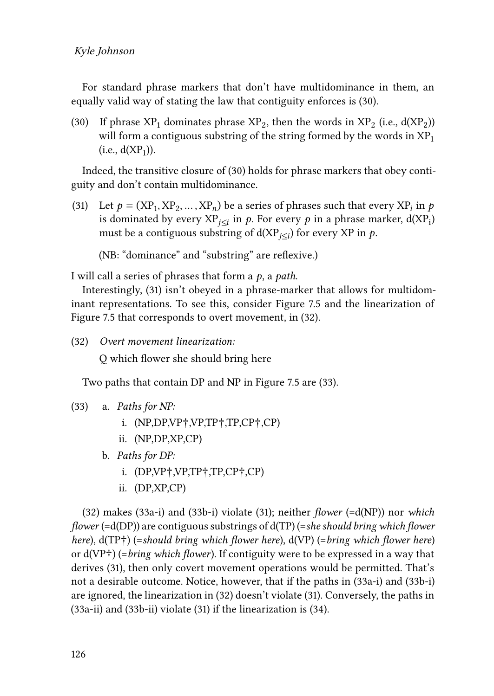#### Kyle Johnson

For standard phrase markers that don't have multidominance in them, an equally valid way of stating the law that contiguity enforces is([30\)](#page-13-0).

<span id="page-13-0"></span>(30) If phrase  $XP_1$  dominates phrase  $XP_2$ , then the words in  $XP_2$  (i.e.,  $d(XP_2)$ ) will form a contiguous substring of the string formed by the words in  $XP<sub>1</sub>$  $(i.e., d(XP<sub>1</sub>)).$ 

Indeed, the transitive closure of([30](#page-13-0)) holds for phrase markers that obey contiguity and don't contain multidominance.

<span id="page-13-1"></span>(31) Let  $p = (XP_1, XP_2, ..., XP_n)$  be a series of phrases such that every  $XP_i$  in  $p$ is dominated by every XP $_{j\leq i}$  in  $p.$  For every  $p$  in a phrase marker, d(XP<sub>i</sub>) must be a contiguous substring of  $d(XP_{i\leq i})$  for every XP in  $p$ .

(NB: "dominance" and "substring" are reflexive.)

I will call a series of phrases that form a  $p$ , a *path*.

Interestingly,([31\)](#page-13-1) isn't obeyed in a phrase-marker that allows for multidominant representations. To see this, consider Figure [7.5](#page-14-0) and the linearization of Figure [7.5](#page-14-0) that corresponds to overt movement, in([32](#page-13-2)).

<span id="page-13-2"></span>(32) *Overt movement linearization:*

Q which flower she should bring here

Two paths that contain DP and NP in Figure [7.5](#page-14-0) are([33\)](#page-13-3).

- <span id="page-13-6"></span><span id="page-13-4"></span><span id="page-13-3"></span>(33) a. *Paths for NP:*
	- i. (NP,DP,VP†,VP,TP†,TP,CP†,CP)
	- ii. (NP,DP,XP,CP)
	- b. *Paths for DP:*
		- i. (DP,VP†,VP,TP†,TP,CP†,CP)
		- ii. (DP,XP,CP)

<span id="page-13-7"></span><span id="page-13-5"></span>([32\)](#page-13-2) makes([33a-i](#page-13-4)) and [\(33b-i](#page-13-5)) violate([31\)](#page-13-1); neither *flower* (=d(NP)) nor *which flower* (=d(DP)) are contiguous substrings of d(TP) (=*she should bring which flower here*), d(TP†) (=*should bring which flower here*), d(VP) (=*bring which flower here*) or d(VP†) (=*bring which flower*). If contiguity were to be expressed in a way that derives([31\)](#page-13-1), then only covert movement operations would be permitted. That's not a desirable outcome. Notice, however, that if the paths in [\(33a-i](#page-13-4)) and [\(33b-i](#page-13-5)) are ignored, the linearization in([32](#page-13-2)) doesn't violate [\(31](#page-13-1)). Conversely, the paths in [\(33a-ii](#page-13-6)) and [\(33b-ii\)](#page-13-7) violate([31\)](#page-13-1) if the linearization is([34\)](#page-14-1).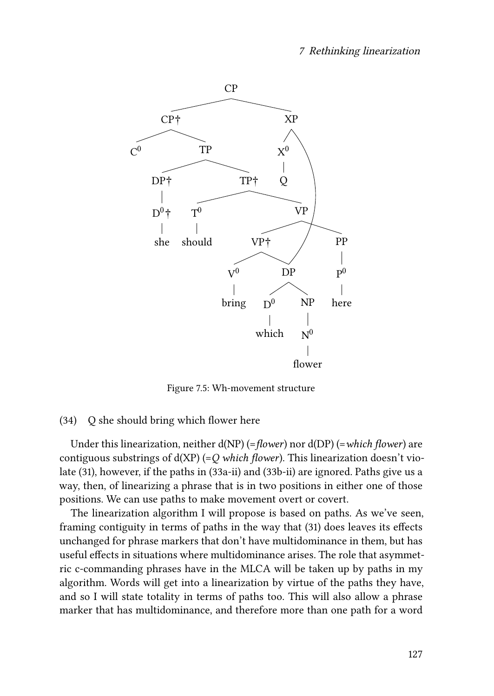<span id="page-14-0"></span>

Figure 7.5: Wh-movement structure

#### <span id="page-14-1"></span>(34) Q she should bring which flower here

Under this linearization, neither d(NP) (=*flower*) nor d(DP) (=*which flower*) are contiguous substrings of d(XP) (=*Q which flower*). This linearization doesn't violate [\(31](#page-13-1)), however, if the paths in [\(33a-ii\)](#page-13-6) and [\(33b-ii](#page-13-7)) are ignored. Paths give us a way, then, of linearizing a phrase that is in two positions in either one of those positions. We can use paths to make movement overt or covert.

The linearization algorithm I will propose is based on paths. As we've seen, framing contiguity in terms of paths in the way that([31\)](#page-13-1) does leaves its effects unchanged for phrase markers that don't have multidominance in them, but has useful effects in situations where multidominance arises. The role that asymmetric c-commanding phrases have in the MLCA will be taken up by paths in my algorithm. Words will get into a linearization by virtue of the paths they have, and so I will state totality in terms of paths too. This will also allow a phrase marker that has multidominance, and therefore more than one path for a word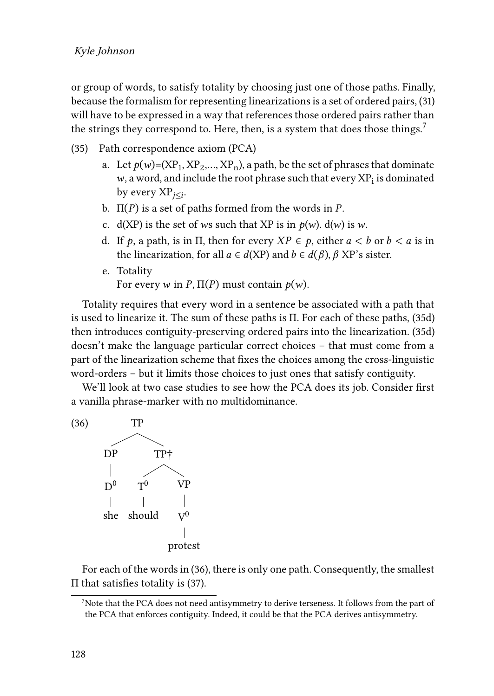#### Kyle Johnson

or group of words, to satisfy totality by choosing just one of those paths. Finally, because the formalism for representing linearizations is a set of ordered pairs, [\(31](#page-13-1)) will have to be expressed in a way that references those ordered pairs rather than the strings they correspond to. Here, then, is a system that does those things.<sup>7</sup>

- (35) Path correspondence axiom (PCA)
	- a. Let  $p(w)$ =(XP<sub>1</sub>, XP<sub>2</sub>,..., XP<sub>n</sub>), a path, be the set of phrases that dominate  $w$ , a word, and include the root phrase such that every  $\rm{XP}_i$  is dominated by every  $XP_{i\leq i}$ .
	- b.  $\Pi(P)$  is a set of paths formed from the words in P.
	- c. d(XP) is the set of ws such that XP is in  $p(w)$ . d(w) is w.
	- d. If p, a path, is in  $\Pi$ , then for every  $XP \in p$ , either  $a < b$  or  $b < a$  is in the linearization, for all  $a \in d(XP)$  and  $b \in d(\beta)$ ,  $\beta$  XP's sister.
	- e. Totality For every w in P,  $\Pi(P)$  must contain  $p(w)$ .

<span id="page-15-0"></span>Totality requires that every word in a sentence be associated with a path that isused to linearize it. The sum of these paths is  $\Pi$ . For each of these paths, ([35d](#page-15-0)) then introduces contiguity-preserving ordered pairs into the linearization.([35d](#page-15-0)) doesn't make the language particular correct choices – that must come from a part of the linearization scheme that fixes the choices among the cross-linguistic word-orders – but it limits those choices to just ones that satisfy contiguity.

We'll look at two case studies to see how the PCA does its job. Consider first a vanilla phrase-marker with no multidominance.

<span id="page-15-1"></span>

For each of the words in([36\)](#page-15-1), there is only one path. Consequently, the smallest Π that satisfies totality is([37\)](#page-16-0).

 $7$ Note that the PCA does not need antisymmetry to derive terseness. It follows from the part of the PCA that enforces contiguity. Indeed, it could be that the PCA derives antisymmetry.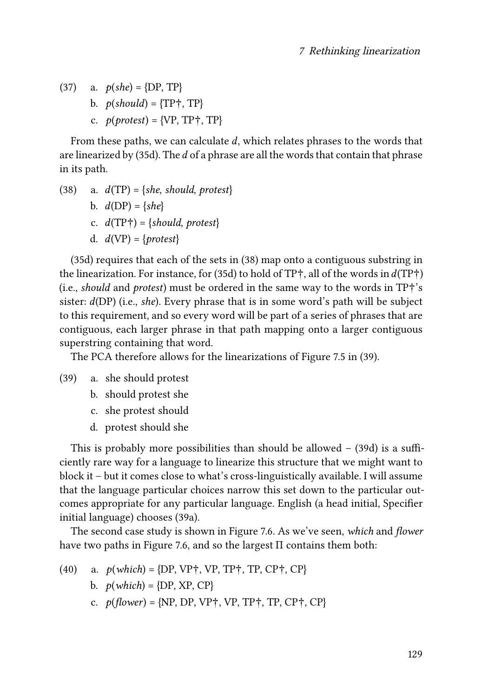- <span id="page-16-0"></span>(37) a.  $p(she) = {DP, TP}$ 
	- b.  $p(\text{should}) = \{TP\}$ , TP $\}$
	- c.  $p(\text{protest}) = \{VP, TP^+, TP\}$

From these paths, we can calculate  $d$ , which relates phrases to the words that arelinearized by  $(35d)$  $(35d)$  $(35d)$ . The *d* of a phrase are all the words that contain that phrase in its path.

- <span id="page-16-1"></span>(38) a.  $d(TP) = \{she, should, protest\}$ 
	- b.  $d(DP) = \{she\}$
	- c.  $d(TP\dagger) = \{should, protest\}$
	- d.  $d(VP) = \{protest\}$

[\(35d\)](#page-15-0) requires that each of the sets in([38\)](#page-16-1) map onto a contiguous substring in the linearization. For instance, for [\(35d\)](#page-15-0) to hold of TP<sup>+</sup>, all of the words in  $d(TP\dagger)$ (i.e., *should* and *protest*) must be ordered in the same way to the words in TP†'s sister: (DP) (i.e., *she*). Every phrase that is in some word's path will be subject to this requirement, and so every word will be part of a series of phrases that are contiguous, each larger phrase in that path mapping onto a larger contiguous superstring containing that word.

The PCA therefore allows for the linearizations of Figure [7.5](#page-14-0) in([39\)](#page-16-2).

- <span id="page-16-2"></span>(39) a. she should protest
	- b. should protest she
	- c. she protest should
	- d. protest should she

This is probably more possibilities than should be allowed –([39](#page-16-2)d) is a sufficiently rare way for a language to linearize this structure that we might want to block it – but it comes close to what's cross-linguistically available. I will assume that the language particular choices narrow this set down to the particular outcomes appropriate for any particular language. English (a head initial, Specifier initial language) chooses [\(39](#page-16-2)a).

The second case study is shown in Figure [7.6](#page-17-0). As we've seen, *which* and *flower* have two paths in Figure [7.6,](#page-17-0) and so the largest Π contains them both:

- <span id="page-16-3"></span>(40) a.  $p(which) = {DP, VP<sup>+</sup>, VP, TP<sup>+</sup>, TP, CP<sup>+</sup>, CP}$ 
	- b.  $p(\text{which}) = {\text{DP}, \text{XP}, \text{CP}}$
	- c.  $p(floatver) = {NP, DP, VP<sup>+</sup>, VP, TP<sup>+</sup>, TP, CP<sup>+</sup>, CP}$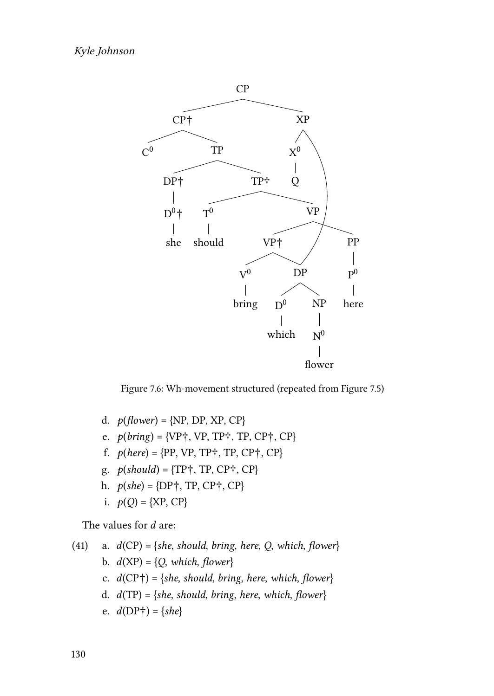<span id="page-17-0"></span>

Figure 7.6: Wh-movement structured (repeated from Figure [7.5\)](#page-14-0)

- d.  $p(flower) = {NP, DP, XP, CP}$
- e.  $p(bring) = {VP\uparrow, VP, TP\uparrow, TP, CP\uparrow, CP}$
- f.  $p(here) = {PP, VP, TP}, T, CP, CP}$
- g.  $p(should) = {TP\dagger, TP, CP\dagger, CP}$
- h.  $p(she) = {DP\uparrow, TP, CP\uparrow, CP}$
- i.  $p(Q) = {XP, CP}$

The values for  $d$  are:

<span id="page-17-1"></span>\n- (41) a. 
$$
d(CP) = \{she, should, bring, here, Q, which, flower\}
$$
\n- b.  $d(XP) = \{Q, which, flower\}$
\n- c.  $d(CP\dagger) = \{she, should, bring, here, which, flower\}$
\n- d.  $d(TP) = \{she, should, bring, here, which, flower\}$
\n- e.  $d(DP\dagger) = \{she\}$
\n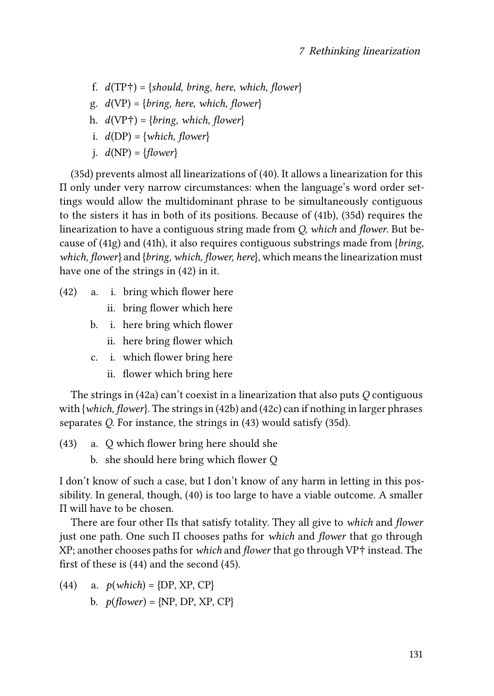- f.  $d(TP\dagger) = \{should, bring, here, which, flower\}$
- <span id="page-18-0"></span>g.  $d(VP) = \{bring, here, which, flower\}$
- <span id="page-18-1"></span>h.  $d(VP\dagger) = \{bring, which, flower\}$
- i.  $d(DP) = \{which, flower\}$
- i.  $d(NP) = \{flower\}$

[\(35d\)](#page-15-0) prevents almost all linearizations of [\(40\)](#page-16-3). It allows a linearization for this Π only under very narrow circumstances: when the language's word order settings would allow the multidominant phrase to be simultaneously contiguous to the sisters it has in both of its positions. Because of([41b](#page-17-1)),([35d](#page-15-0)) requires the linearization to have a contiguous string made from *Q, which* and *flower*. But because of [\(41g\)](#page-18-0) and([41h\)](#page-18-1), it also requires contiguous substrings made from {*bring, which, flower*} and {*bring, which, flower, here*}, which means the linearization must have one of the strings in [\(42\)](#page-18-2) in it.

- <span id="page-18-3"></span><span id="page-18-2"></span>(42) a. i. bring which flower here
	- ii. bring flower which here
	- b. i. here bring which flower
		- ii. here bring flower which
	- c. i. which flower bring here
		- ii. flower which bring here

<span id="page-18-4"></span>The strings in([42a](#page-18-2)) can't coexist in a linearization that also puts *Q* contiguous with {*which, flower*}. The strings in([42b\)](#page-18-3) and [\(42c\)](#page-18-4) can if nothing in larger phrases separates *Q*. For instance, the strings in [\(43](#page-18-5)) would satisfy([35d](#page-15-0)).

- <span id="page-18-5"></span>(43) a. Q which flower bring here should she
	- b. she should here bring which flower Q

I don't know of such a case, but I don't know of any harm in letting in this possibility. In general, though,([40\)](#page-16-3) is too large to have a viable outcome. A smaller Π will have to be chosen.

There are four other Πs that satisfy totality. They all give to *which* and *flower* just one path. One such Π chooses paths for *which* and *flower* that go through XP; another chooses paths for *which* and *flower* that go through VP† instead. The first of these is([44](#page-18-6)) and the second([45](#page-19-0)).

<span id="page-18-6"></span>(44) a.  $p(\text{which}) = {\text{DP}, \text{XP}, \text{CP}}$ b.  $p(flower) = {NP, DP, XP, CP}$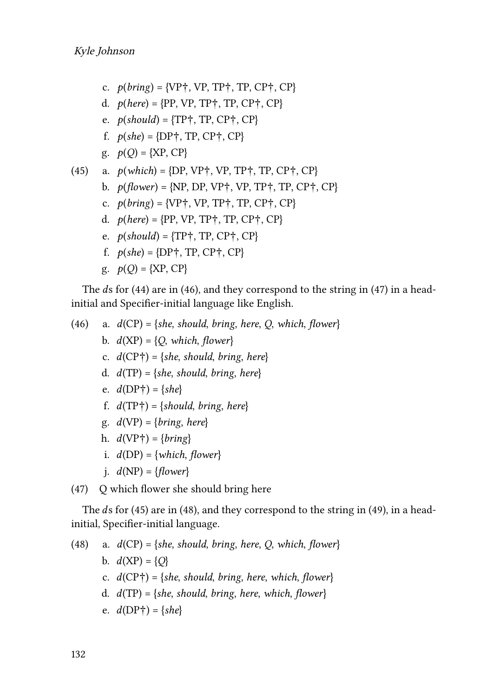- c.  $p(bring) = {VP\uparrow, VP, TP\uparrow, TP, CP\uparrow, CP}$
- d.  $p(here) = {PP, VP, TP}$ ; TP, CP<sup>+</sup>, CP<sup>}</sup>
- e.  $p(\text{should}) = \{TP\}$ , TP, CP $\dagger$ , CP $\}$
- f.  $p(she) = {DP\uparrow, TP, CP\uparrow, CP}$
- $g. \quad p(Q) = {XP, CP}$

<span id="page-19-0"></span>(45) a. 
$$
p(\text{which}) = \{DP, VP^+, VP, TP^+, TP, CP^+, CP\}
$$

- b.  $p(\text{flower}) = \{NP, DP, VP^+, VP, TP^+, TP, CP^+, CP\}$
- c.  $p(bring) = {VP\uparrow, VP, TP\uparrow, TP, CP\uparrow, CP}$
- d.  $p(here) = {PP, VP, TP}, TP, CP}, CP$
- e.  $p(should) = {TP\dagger, TP, CP\dagger, CP}$
- f.  $p(she) = {DP_7, TP, CP_7, CP_8}$
- $g. \quad p(Q) = \{XP, CP\}$

Theds for ([44](#page-18-6)) are in ([46](#page-19-1)), and they correspond to the string in [\(47](#page-19-2)) in a headinitial and Specifier-initial language like English.

<span id="page-19-1"></span>(46) a. 
$$
d(CP) = \{she, should, bring, here, Q, which, flower\}
$$
  
\nb.  $d(XP) = \{Q, which, flower\}$   
\nc.  $d(CP\dagger) = \{she, should, bring, here\}$   
\nd.  $d(TP) = \{she, should, bring, here\}$   
\ne.  $d(DP\dagger) = \{she\}$   
\nf.  $d(TP\dagger) = \{should, bring, here\}$   
\ng.  $d(VP) = \{bring, here\}$   
\nh.  $d(VP\dagger) = \{bring\}$ 

- i.  $d(DP) = \{which, flower\}$
- j.  $d(NP) = \{flower\}$

<span id="page-19-2"></span>(47) Q which flower she should bring here

The $ds$  for [\(45\)](#page-19-0) are in ([48](#page-19-3)), and they correspond to the string in ([49](#page-20-0)), in a headinitial, Specifier-initial language.

<span id="page-19-3"></span>(48) a. 
$$
d(CP) = \{she, should, bring, here, Q, which, flower\}
$$
  
\nb.  $d(XP) = \{Q\}$   
\nc.  $d(CP\dagger) = \{she, should, bring, here, which, flower\}$   
\nd.  $d(TP) = \{she, should, bring, here, which, flower\}$   
\ne.  $d(DP\dagger) = \{she\}$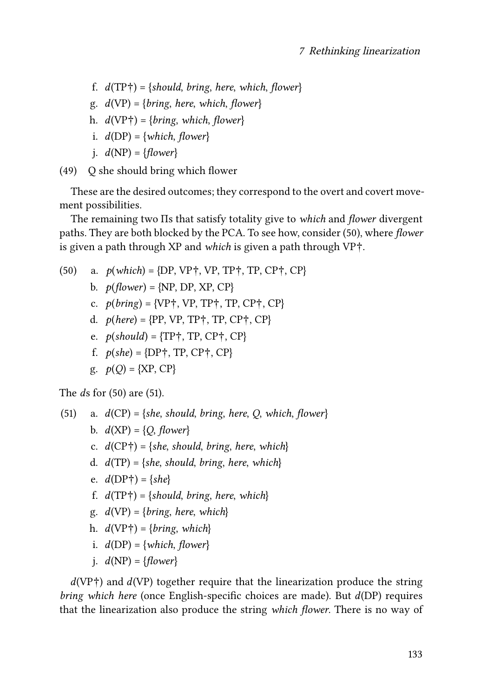- f.  $d(TP\dagger) = \{should, bring, here, which, flower\}$
- g.  $d(VP) = \{bring, here, which, flower\}$
- h.  $d(VP\dagger) = \{bring, which, flower\}$
- i.  $d(DP) = \{which, flower\}$
- $i. d(NP) = \{flower\}$

<span id="page-20-0"></span>(49) Q she should bring which flower

These are the desired outcomes; they correspond to the overt and covert movement possibilities.

The remaining two Πs that satisfy totality give to *which* and *flower* divergent paths. They are both blocked by the PCA. To see how, consider([50](#page-20-1)), where *flower* is given a path through XP and *which* is given a path through VP†.

<span id="page-20-1"></span>(50) a. 
$$
p(which) = {DP, VP\dagger, VP, TP\dagger, TP, CP\dagger, CP}
$$
  
\nb.  $p(flower) = {NP, DP, XP, CP}$   
\nc.  $p(bring) = {VP\dagger, VP, TP\dagger, TP, CP\dagger, CP}$   
\nd.  $p(here) = {PP, VP, TP\dagger, TP, CP\dagger, CP}$   
\ne.  $p(should) = {TP\dagger, TP, CP\dagger, CP}$   
\nf.  $p(she) = {DP\dagger, TP, CP\dagger, CP}$   
\ng.  $p(Q) = {XP, CP}$ 

The *d*s for([50\)](#page-20-1) are([51\)](#page-20-2).

<span id="page-20-2"></span>(51) a. 
$$
d(CP) = \{she, should, bring, here, Q, which, flower\}
$$

- b.  $d(XP) = \{Q, flower\}$
- c.  $d(CP\dagger) = \{she, should, bring, here, which\}$
- d.  $d(TP) = \{she, should, bring, here, which\}$
- e.  $d(DP\dagger) = \{she\}$
- f.  $d(TP\dagger) = \{should, bring, here, which\}$
- g.  $d(VP) = \{bring, here, which\}$
- h.  $d(VP\dagger) = \{bring, which\}$
- i.  $d(DP) = \{which, flower\}$
- i.  $d(NP) = \{flower\}$

 $d(VP\dagger)$  and  $d(VP)$  together require that the linearization produce the string *bring which here* (once English-specific choices are made). But  $d(DP)$  requires that the linearization also produce the string *which flower*. There is no way of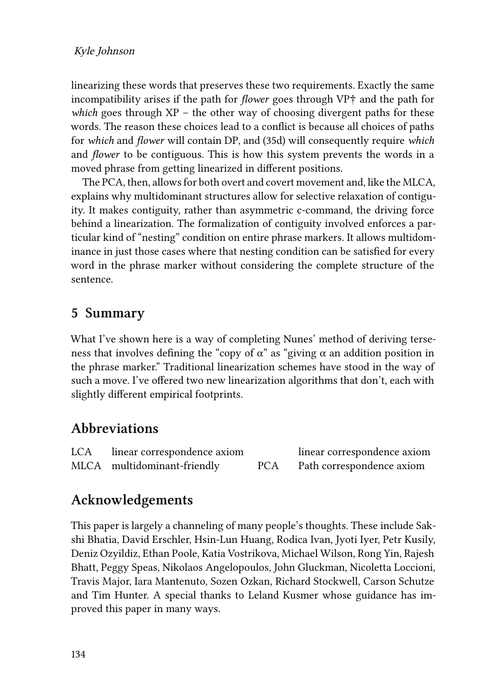linearizing these words that preserves these two requirements. Exactly the same incompatibility arises if the path for *flower* goes through VP† and the path for *which* goes through XP – the other way of choosing divergent paths for these words. The reason these choices lead to a conflict is because all choices of paths for *which* and *flower* will contain DP, and([35d](#page-15-0)) will consequently require *which* and *flower* to be contiguous. This is how this system prevents the words in a moved phrase from getting linearized in different positions.

The PCA, then, allows for both overt and covert movement and, like the MLCA, explains why multidominant structures allow for selective relaxation of contiguity. It makes contiguity, rather than asymmetric c-command, the driving force behind a linearization. The formalization of contiguity involved enforces a particular kind of "nesting" condition on entire phrase markers. It allows multidominance in just those cases where that nesting condition can be satisfied for every word in the phrase marker without considering the complete structure of the sentence.

## **5 Summary**

What I've shown here is a way of completing Nunes' method of deriving terseness that involves defining the "copy of  $\alpha$ " as "giving  $\alpha$  an addition position in the phrase marker." Traditional linearization schemes have stood in the way of such a move. I've offered two new linearization algorithms that don't, each with slightly different empirical footprints.

## **Abbreviations**

| <b>LCA</b> | linear correspondence axiom |            | linear correspondence axiom |
|------------|-----------------------------|------------|-----------------------------|
|            | MLCA multidominant-friendly | <b>PCA</b> | Path correspondence axiom   |

# **Acknowledgements**

This paper is largely a channeling of many people's thoughts. These include Sakshi Bhatia, David Erschler, Hsin-Lun Huang, Rodica Ivan, Jyoti Iyer, Petr Kusily, Deniz Ozyildiz, Ethan Poole, Katia Vostrikova, Michael Wilson, Rong Yin, Rajesh Bhatt, Peggy Speas, Nikolaos Angelopoulos, John Gluckman, Nicoletta Loccioni, Travis Major, Iara Mantenuto, Sozen Ozkan, Richard Stockwell, Carson Schutze and Tim Hunter. A special thanks to Leland Kusmer whose guidance has improved this paper in many ways.